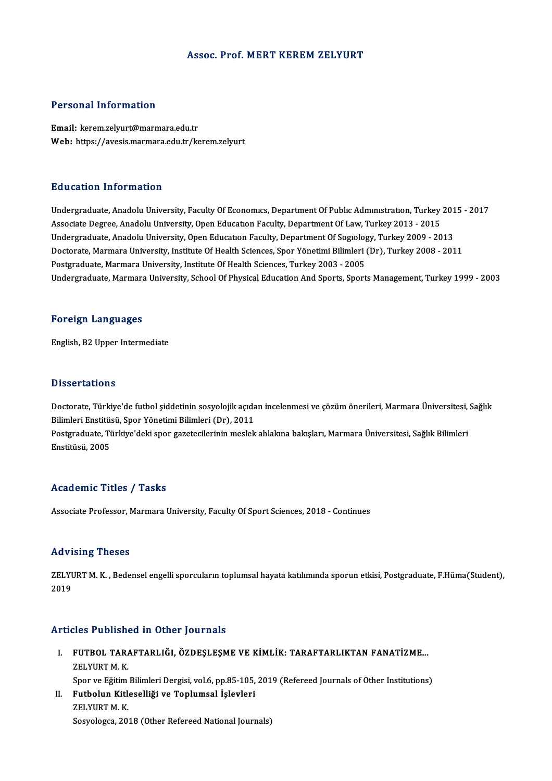### Assoc. Prof. MERT KEREM ZELYURT

## Personal Information

Email: kerem.zelyurt@marmara.edu.tr Web: https://avesis.marmara.edu.tr/kerem.zelyurt

### Education Information

Education Information<br>Undergraduate, Anadolu University, Faculty Of Economics, Department Of Public Administration, Turkey 2015 - 2017<br>Assesiate Degree, Anadolu University, Open Education Faculty, Department Of Law, Turkey Autoucion Timor Interon<br>Undergraduate, Anadolu University, Faculty Of Economics, Department Of Public Administration, Turkey<br>Associate Degree, Anadolu University, Open Education Faculty, Department Of Law, Turkey 2013 - 20 Undergraduate, Anadolu University, Faculty Of Economics, Department Of Public Administration, Turkey 201<br>Associate Degree, Anadolu University, Open Education Faculty, Department Of Law, Turkey 2013 - 2015<br>Undergraduate, An Associate Degree, Anadolu University, Open Education Faculty, Department Of Law, Turkey 2013 - 2015<br>Undergraduate, Anadolu University, Open Education Faculty, Department Of Sogiology, Turkey 2009 - 2013<br>Doctorate, Marmara Undergraduate, Anadolu University, Open Education Faculty, Department Of Sogiolog<br>Doctorate, Marmara University, Institute Of Health Sciences, Spor Yönetimi Bilimleri<br>Postgraduate, Marmara University, Institute Of Health S Undergraduate, Marmara University, School Of Physical Education And Sports, Sports Management, Turkey 1999 - 2003

#### Foreign Languages

English,B2Upper Intermediate

### **Dissertations**

Dissertations<br>Doctorate, Türkiye'de futbol şiddetinin sosyolojik açıdan incelenmesi ve çözüm önerileri, Marmara Üniversitesi, Sağlık<br>Bilimleri Enstitüsü, Sper Yönetimi Bilimleri (Dr.), 2011 Bilimleri<br>Bilimleri Enstitüsü, Spor Yönetimi Bilimleri (Dr), 2011<br>Bilimleri Enstitüsü, Spor Yönetimi Bilimleri (Dr), 2011<br>Bestanaduate Türkiye'deki spor gazetesilerinin meslek Doctorate, Türkiye'de futbol şiddetinin sosyolojik açıdan incelenmesi ve çözüm önerileri, Marmara Üniversitesi,<br>Bilimleri Enstitüsü, Spor Yönetimi Bilimleri (Dr), 2011<br>Postgraduate, Türkiye'deki spor gazetecilerinin meslek

Bilimleri Enstitü:<br>Postgraduate, Ti<br>Enstitüsü, 2005

# Academic Titles / Tasks

Associate Professor, Marmara University, Faculty Of Sport Sciences, 2018 - Continues

## Advising Theses

**Advising Theses**<br>ZELYURT M. K. , Bedensel engelli sporcuların toplumsal hayata katılımında sporun etkisi, Postgraduate, F.Hüma(Student),<br>2019 ---<br>ZELYU<br>2019

# Articles Published in Other Journals

- TU TUR ERDIMIRDININ TURDALIRDININ TURDA TERLETIKLERDININ HARAFTARLIKTAN SARATIZME.<br>I. FUTBOL TARAFTARLIĞI, ÖZDEŞLEŞME VE KİMLİK: TARAFTARLIKTAN FANATİZME... ZELYURTM.<br>FUTBOL TARA<br>ZELYURT M. K.<br>Spor*vo* Făitim. ZELYURT M. K.<br>Spor ve Eğitim Bilimleri Dergisi, vol.6, pp.85-105, 2019 (Refereed Journals of Other Institutions) ZELYURT M. K.<br>Spor ve Eğitim Bilimleri Dergisi, vol.6, pp.85-105,<br>II. Futbolun Kitleselliği ve Toplumsal İşlevleri<br>ZELYUPT M. K
- Spor ve Eğitim<br>Futbolun Kitle<br>ZELYURT M. K.<br>Seavelesse 20 Futbolun Kitleselliği ve Toplumsal İşlevleri<br>ZELYURT M. K.<br>Sosyologca, 2018 (Other Refereed National Journals)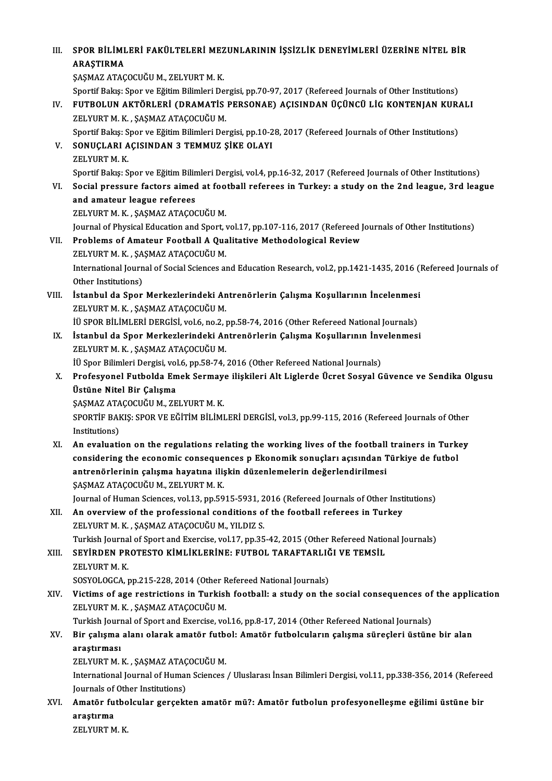# III. SPOR BİLİMLERİ FAKÜLTELERİ MEZUNLARININ İŞSİZLİK DENEYİMLERİ ÜZERİNE NİTEL BİR<br>ARASTIRMA SPOR BİLİMI<br>ARAŞTIRMA<br>SASMAZATAC SPOR BİLİMLERİ FAKÜLTELERİ MEZ<br>ARAŞTIRMA<br>ŞAŞMAZ ATAÇOCUĞU M., ZELYURT M. K.<br>Sportif Balısı Spor ve Eğitim Bilimleri De ARAŞTIRMA<br>ŞAŞMAZ ATAÇOCUĞU M., ZELYURT M. K.<br>Sportif Bakış: Spor ve Eğitim Bilimleri Dergisi, pp.70-97, 2017 (Refereed Journals of Other Institutions) ŞAŞMAZ ATAÇOCUĞU M., ZELYURT M. K.<br>IV. FUTBOLUN AKTÖRLERİ (DRAMATİS PERSONAE) AÇISINDAN ÜÇÜNCÜ LİG KONTENJAN KURALI<br>IV. FUTBOLUN AKTÖRLERİ (DRAMATİS PERSONAE) AÇISINDAN ÜÇÜNCÜ LİG KONTENJAN KURALI Sportif Bakış: Spor ve Eğitim Bilimleri Den<br>FUTBOLUN AKTÖRLERİ (DRAMATİS<br>ZELYURT M. K. , ŞAŞMAZ ATAÇOCUĞU M.<br>Sportif Balge: Spor ve Eğitim Bilimleri Den FUTBOLUN AKTÖRLERİ (DRAMATİS PERSONAE) AÇISINDAN ÜÇÜNCÜ LİG KONTENJAN KUR*l*<br>ZELYURT M. K. , ŞAŞMAZ ATAÇOCUĞU M.<br>Sportif Bakış: Spor ve Eğitim Bilimleri Dergisi, pp.10-28, 2017 (Refereed Journals of Other Institutions)<br>SON ZELYURT M. K. , ŞAŞMAZ ATAÇOCUĞU M.<br>Sportif Bakış: Spor ve Eğitim Bilimleri Dergisi, pp.10-2<br>V. SONUÇLARI AÇISINDAN 3 TEMMUZ ŞİKE OLAYI<br>ZELYURT M. K. Sportif Bakış: Spor ve Eğitim Bilimleri Dergisi, pp.10-28, 2017 (Refereed Journals of Other Institutions) SONUÇLARI AÇISINDAN 3 TEMMUZ ŞİKE OLAYI<br>ZELYURT M. K.<br>Sportif Bakış: Spor ve Eğitim Bilimleri Dergisi, vol.4, pp.16-32, 2017 (Refereed Journals of Other Institutions)<br>Social pressure factors simed at factball referees in T ZELYURT M. K.<br>Sportif Bakış: Spor ve Eğitim Bilimleri Dergisi, vol.4, pp.16-32, 2017 (Refereed Journals of Other Institutions)<br>VI. Social pressure factors aimed at football referees in Turkey: a study on the 2nd league Sportif Bakış: Spor ve Eğitim Bilin<br>Social pressure factors aimed<br>and amateur league referees<br>ZELVIPT M. K. SASMAZ ATACOC Social pressure factors aimed at foo<br>and amateur league referees<br>ZELYURT M. K. , ŞAŞMAZ ATAÇOCUĞU M.<br>Journal of Physical Education and Sport 1 and amateur league referees<br>ZELYURT M. K. , ŞAŞMAZ ATAÇOCUĞU M.<br>Journal of Physical Education and Sport, vol.17, pp.107-116, 2017 (Refereed Journals of Other Institutions)<br>Problems of Amateur Football A Qualitative Methodo ZELYURT M. K., ȘAȘMAZ ATAÇOCUĞU M.<br>Journal of Physical Education and Sport, vol.17, pp.107-116, 2017 (Refereed J<br>VII. Problems of Amateur Football A Qualitative Methodological Review<br>ZELVURT M. K. SASMAZ ATACOCUČU M Journal of Physical Education and Sport, v<br>Problems of Amateur Football A Qua<br>ZELYURT M. K. , ŞAŞMAZ ATAÇOCUĞU M.<br>International Journal of Social Sciences ex VII. Problems of Amateur Football A Qualitative Methodological Review<br>ZELYURT M. K., ŞAŞMAZ ATAÇOCUĞU M.<br>International Journal of Social Sciences and Education Research, vol.2, pp.1421-1435, 2016 (Refereed Journals of<br>Othe ZELYURT M. K., ŞAŞMAZ ATAÇOCUĞU M. International Journal of Social Sciences and Education Research, vol.2, pp.1421-1435, 2016 ()<br>Other Institutions)<br>VIII. Istanbul da Spor Merkezlerindeki Antrenörlerin Çalışma Koşullarının İncelenmesi<br>ZELVIBT M.K., SASMAZ A Other Institutions)<br>İstanbul da Spor Merkezlerindeki An<br>ZELYURT M. K. , ŞAŞMAZ ATAÇOCUĞU M.<br>İÜ SPOP PİLİMLERİ DERÇİSİ .vel 6, ne 3, 1 İstanbul da Spor Merkezlerindeki Antrenörlerin Çalışma Koşullarının İncelenmesi<br>ZELYURT M. K., ŞAŞMAZ ATAÇOCUĞU M.<br>İÜ SPOR BİLİMLERİ DERGİSİ, vol.6, no.2, pp.58-74, 2016 (Other Refereed National Journals)<br>İstanbul da Spor ZELYURT M. K., ŞAŞMAZ ATAÇOCUĞU M.<br>IÜ SPOR BILIMLERI DERGISI, vol.6, no.2, pp.58-74, 2016 (Other Refereed National Journals)<br>IX. İstanbul da Spor Merkezlerindeki Antrenörlerin Çalışma Koşullarının İnvelenmesi ZELYURTM.K., ŞAŞMAZ ATAÇOCUĞUM. İstanbul da Spor Merkezlerindeki Antrenörlerin Çalışma Koşullarının İnv<br>ZELYURT M. K., ŞAŞMAZ ATAÇOCUĞU M.<br>İÜ Spor Bilimleri Dergisi, vol.6, pp.58-74, 2016 (Other Refereed National Journals)<br>Profesyonal Eutholda Emak Sarma ZELYURT M. K. , ŞAŞMAZ ATAÇOCUĞU M.<br>İÜ Spor Bilimleri Dergisi, vol.6, pp.58-74, 2016 (Other Refereed National Journals)<br>X. Profesyonel Futbolda Emek Sermaye ilişkileri Alt Liglerde Ücret Sosyal Güvence ve Sendika Olgus İÜ Spor Bilimleri Dergisi, vol<br>Profesyonel Futbolda En<br>Üstüne Nitel Bir Çalışma<br>SASMAZ ATACOCUĞU M. ZE Profesyonel Futbolda Emek Sermay<br>Üstüne Nitel Bir Çalışma<br>ŞAŞMAZ ATAÇOCUĞU M., ZELYURT M. K.<br>SPOPTİE PAKIS, SPOP VE EĞİTİM PİLİMI Üstüne Nitel Bir Çalışma<br>ŞAŞMAZ ATAÇOCUĞU M., ZELYURT M. K.<br>SPORTİF BAKIŞ: SPOR VE EĞİTİM BİLİMLERİ DERGİSİ, vol.3, pp.99-115, 2016 (Refereed Journals of Other<br>Institutione) SASMAZ ATA<br>SPORTIF BAI<br>Institutions)<br>An evolucti SPORTIF BAKIS: SPOR VE EĞİTİM BİLİMLERİ DERGİSİ, vol.3, pp.99-115, 2016 (Refereed Journals of Other<br>Institutions)<br>XI. An evaluation on the regulations relating the working lives of the football trainers in Turkey<br>consideri Institutions)<br>XI. An evaluation on the regulations relating the working lives of the football trainers in Turkey<br>considering the economic consequences p Ekonomik sonuçları açısından Türkiye de futbol antrenörlerinin çalışma hayatına ilişkin düzenlemelerin değerlendirilmesi ŞAŞMAZ ATAÇOCUĞU M., ZELYURT M. K. Journal of Human Sciences, vol.13, pp.5915-5931, 2016 (Refereed Journals of Other Institutions) SASMAZ ATAÇOCUĞU M., ZELYURT M. K.<br>Journal of Human Sciences, vol.13, pp.5915-5931, 2016 (Refereed Journals of Other Inst.<br>XII. An overview of the professional conditions of the football referees in Turkey Journal of Human Sciences, vol.13, pp.5915-5931, 2<br>An overview of the professional conditions of<br>ZELYURT M. K. , ŞAŞMAZ ATAÇOCUĞU M., YILDIZ S.<br>Turkish Journal of Sport and Evergise vol.17, np.35 ZELYURT M. K. , ŞAŞMAZ ATAÇOCUĞU M., YILDIZ S.<br>Turkish Journal of Sport and Exercise, vol.17, pp.35-42, 2015 (Other Refereed National Journals) ZELYURT M. K., ŞAŞMAZ ATAÇOCUĞU M., YILDIZ S.<br>Turkish Journal of Sport and Exercise, vol.17, pp.35-42, 2015 (Other Refereed Natio<br>XIII. SEYİRDEN PROTESTO KİMLİKLERİNE: FUTBOL TARAFTARLIĞI VE TEMSİL<br>ZELYIRTM K Turkish Journa<br><mark>SEYİRDEN PR</mark><br>ZELYURT M. K.<br>SOSYOLOCCA SEYİRDEN PROTESTO KİMLİKLERİNE: FUTBOL TARAFTARLIĞ<br>ZELYURT M. K.<br>SOSYOLOGCA, pp.215-228, 2014 (Other Refereed National Journals)<br>Vistime of age restrictions in Turkish footballı e study on the XELYURT M. K.<br>SOSYOLOGCA, pp.215-228, 2014 (Other Refereed National Journals)<br>XIV. Victims of age restrictions in Turkish football: a study on the social consequences of the application<br>ZELVURT M. K. SASMAZ ATACOCUČU M SOSYOLOGCA, pp.215-228, 2014 (Other R<br>Victims of age restrictions in Turkisl<br>ZELYURT M. K. , ŞAŞMAZ ATAÇOCUĞU M.<br>Turkish Journal of Sport and Exercise ve Victims of age restrictions in Turkish football: a study on the social consequences of<br>ZELYURT M. K. , ŞAŞMAZ ATAÇOCUĞU M.<br>Turkish Journal of Sport and Exercise, vol.16, pp.8-17, 2014 (Other Refereed National Journals)<br>Pir ZELYURT M. K. , ŞAŞMAZ ATAÇOCUĞU M.<br>Turkish Journal of Sport and Exercise, vol.16, pp.8-17, 2014 (Other Refereed National Journals)<br>XV. Bir çalışma alanı olarak amatör futbol: Amatör futbolcuların çalışma süreçleri üst Turkish Journal of Sport and Exercise, vol.16, pp.8-17, 2014 (Other Refereed National Journals)<br>Bir çalışma alanı olarak amatör futbol: Amatör futbolcuların çalışma süreçleri üstünd<br>araştırması<br>ZELYURT M. K., ŞAŞMAZ ATAÇOC Bir çalışma alanı olarak amatör futb<mark>araştırması</mark><br>araştırması<br>ZELYURT M. K. , ŞAŞMAZ ATAÇOCUĞU M.<br>International Journal of Human Sciences. araştırması<br>ZELYURT M. K. , ŞAŞMAZ ATAÇOCUĞU M.<br>International Journal of Human Sciences / Uluslarası İnsan Bilimleri Dergisi, vol.11, pp.338-356, 2014 (Refereed ZELYURT M. K. , ŞAŞMAZ ATAÇ<br>International Journal of Humar<br>Journals of Other Institutions)<br>Amatêr futboleular garsekt International Journal of Human Sciences / Uluslarası İnsan Bilimleri Dergisi, vol.11, pp.338-356, 2014 (Refered<br>Journals of Other Institutions)<br>XVI. Amatör futbolcular gerçekten amatör mü?: Amatör futbolun profesyonell Journals of Other Institutions)<br>Amatör futbolcular gerçekt<br>araştırma<br>ZELYURT M. K. XVI. Amatör futbolcular gerçekten amatör mü?: Amatör futbolun profesyonelleşme eğilimi üstüne bir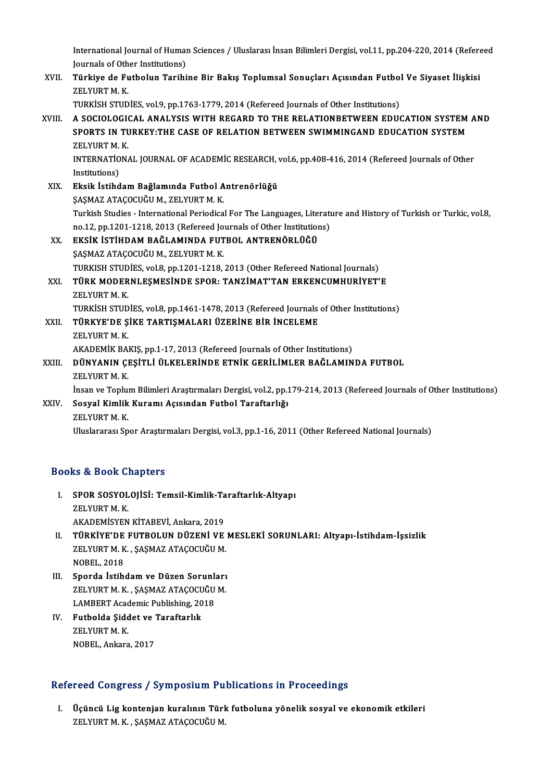International Journal of Human Sciences / Uluslarası İnsan Bilimleri Dergisi, vol.11, pp.204-220, 2014 (Refereed<br>Journals ef Otber Institutione) International Journal of Humar<br>Journals of Other Institutions)<br>Türkive de Eutholun Torihi International Journal of Human Sciences / Uluslarası İnsan Bilimleri Dergisi, vol.11, pp.204-220, 2014 (Refere<br>Journals of Other Institutions)<br>XVII. Türkiye de Futbolun Tarihine Bir Bakış Toplumsal Sonuçları Açısından

Journals of Oth<br><mark>Türkiye de F</mark>u<br>ZELYURT M. K.<br>TURKISH STUD Türkiye de Futbolun Tarihine Bir Bakış Toplumsal Sonuçları Açısından Futbol<br>ZELYURT M. K.<br>TURKİSH STUDİES, vol.9, pp.1763-1779, 2014 (Refereed Journals of Other Institutions)<br>A SOCIOLOCICAL ANALYSIS WITH RECARD TO THE RELA

- ZELYURT M. K.<br>TURKISH STUDIES, vol.9, pp.1763-1779, 2014 (Refereed Journals of Other Institutions)<br>XVIII. A SOCIOLOGICAL ANALYSIS WITH REGARD TO THE RELATIONBETWEEN EDUCATION SYSTEM AND<br>SPORTS IN TURKEV.THE CASE OF RELAT TURKISH STUDIES, vol.9, pp.1763-1779, 2014 (Refereed Journals of Other Institutions)<br>A SOCIOLOGICAL ANALYSIS WITH REGARD TO THE RELATIONBETWEEN EDUCATION SYSTEM<br>SPORTS IN TURKEY:THE CASE OF RELATION BETWEEN SWIMMINGAND EDU SPORTS IN TURKEY:THE CASE OF RELATION BETWEEN SWIMMINGAND EDUCATION SYSTEM ZELYURT M. K. SPORTS IN TURKEY:THE CASE OF RELATION BETWEEN SWIMMINGAND EDUCATION SYSTEM<br>ZELYURT M. K.<br>INTERNATIONAL JOURNAL OF ACADEMIC RESEARCH, vol.6, pp.408-416, 2014 (Refereed Journals of Other<br>Institutions) ZELYURT M.<br>INTERNATIO<br>Institutions)<br>Eksik İstihd INTERNATIONAL JOURNAL OF ACADEMIC RESEARCH,<br>Institutions)<br>XIX. Eksik İstihdam Bağlamında Futbol Antrenörlüğü<br>SASMAZ ATACOCUĞU M. ZELVURT M. K
- Institutions)<br>Eksik İstihdam Bağlamında Futbol Antrenörlüğü<br>SASMAZ ATAÇOCUĞU M., ZELYURT M. K. Turkish Studies - International Periodical For The Languages, Literature and History of Turkish or Turkic, vol.8, SASMAZ ATAÇOCUĞU M., ZELYURT M. K.<br>Turkish Studies - International Periodical For The Languages, Literatı<br>no.12, pp.1201-1218, 2013 (Refereed Journals of Other Institutions)<br>FKSİK İSTİHDAM BAĞLAMINDA FUTBOL ANTRENÖBLÜĞÜ XX. EKSİK İSTİHDAM BAĞLAMINDA FUTBOL ANTRENÖRLÜĞÜ<br>ŞAŞMAZ ATAÇOCUĞU M., ZELYURT M. K. no.12, pp.1201-1218, 2013 (Refereed Jo<mark>ns.)</mark><br>EKSİK İSTİHDAM BAĞLAMINDA FUT<br>ŞAŞMAZ ATAÇOCUĞU M., ZELYURT M. K.<br>TURKISH STIDİES .val 8. pp.1201.1218 EKSİK İSTİHDAM BAĞLAMINDA FUTBOL ANTRENÖRLÜĞÜ<br>ŞAŞMAZ ATAÇOCUĞU M., ZELYURT M. K.<br>TURKISH STUDİES, vol.8, pp.1201-1218, 2013 (Other Refereed National Journals)<br>TÜRK MODERNI ESMESİNDE SPOR: TANZİMAT'TAN ERKENCUMHURİVET' XXI. TÜRK MODERNLEŞMESİNDE SPOR: TANZİMAT'TAN ERKENCUMHURİYET'E<br>ZELYURT M. K. TURKISH STUD<br><mark>TÜRK MODER</mark><br>ZELYURT M. K.<br>TURKISH STUD TÜRK MODERNLEŞMESİNDE SPOR: TANZİMAT'TAN ERKENCUMHURİYET'E<br>ZELYURT M. K.<br>TURKİSH STUDİES, vol.8, pp.1461-1478, 2013 (Refereed Journals of Other Institutions)<br>TÜRKİSH SİKE TARTISMALARI ÜZERİNE RİR İNGELEME

XELYURT M. K.<br>TURKİSH STUDİES, vol.8, pp.1461-1478, 2013 (Refereed Journals<br>XXII. TÜRKYE'DE ŞİKE TARTIŞMALARI ÜZERİNE BİR İNCELEME<br>7ELYUPT M. K TURKİSH STUD<br><mark>TÜRKYE'DE Ş</mark><br>ZELYURT M. K.<br>AKADEMİK PAL TÜRKYE'DE ŞİKE TARTIŞMALARI ÜZERİNE BİR İNCELEME<br>ZELYURT M. K.<br>AKADEMİK BAKIŞ, pp.1-17, 2013 (Refereed Journals of Other Institutions)<br>DÜNYANIN CESİTLİ ÜLKELERINDE ETNİK CERİLİMLER BAĞLAMIN

# ZELYURT M. K.<br>AKADEMİK BAKIŞ, pp.1-17, 2013 (Refereed Journals of Other Institutions)<br>XXIII. DÜNYANIN ÇEŞİTLİ ÜLKELERİNDE ETNİK GERİLİMLER BAĞLAMINDA FUTBOL<br>ZELYURT M. K. AKADEMİK BA<mark>l</mark><br>DÜNYANIN ÇI<br>ZELYURT M. K.<br>İncan ve Tenlu DÜNYANIN ÇEŞİTLİ ÜLKELERİNDE ETNİK GERİLİMLER BAĞLAMINDA FUTBOL<br>ZELYURT M. K.<br>İnsan ve Toplum Bilimleri Araştırmaları Dergisi, vol.2, pp.179-214, 2013 (Refereed Journals of Other Institutions)<br>Sosyal Kimlik Kuramı Asısında

# XXIV. Sosyal Kimlik Kuramı Açısından Futbol Taraftarlığı İnsan ve Toplu<mark>l</mark><br>Sosyal Kimlik<br>ZELYURT M. K.<br>Uluslararası Sn

Uluslararası Spor Araştırmaları Dergisi, vol.3, pp.1-16, 2011 (Other Refereed National Journals)

# Books&Book Chapters

- OOks & Book Chapters<br>I. SPOR SOSYOLOJİSİ: Temsil-Kimlik-Taraftarlık-Altyapı<br>ZELVURT M K **EXECUTE:**<br>SPOR SOSYOL<br>ZELYURT M. K.<br>AKADEMİSYEN ZELYURT M. K.<br>AKADEMİSYEN KİTABEVİ, Ankara, 2019 ZELYURT M. K.<br>AKADEMİSYEN KİTABEVİ, Ankara, 2019<br>II. TÜRKİYE'DE FUTBOLUN DÜZENİ VE MESLEKİ SORUNLARI: Altyapı-İstihdam-İşsizlik<br>ZELYUPT M.K., SASMAZ ATAÇQÇUĞLI M
- AKADEMİSYEN KİTABEVİ, Ankara, 2019<br>**TÜRKİYE'DE FUTBOLUN DÜZENİ VE**<br>ZELYURT M. K. , ŞAŞMAZ ATAÇOCUĞU M.<br>NOBEL 2019 TÜRKİYE'DE<br>ZELYURT M. K<br>NOBEL, 2018<br>Sporda İstih ZELYURT M. K., ŞAŞMAZ ATAÇOCUĞU M.<br>NOBEL, 2018<br>III. Sporda İstihdam ve Düzen Sorunları<br>ZELYUPT M. K. SASMAZ ATAÇOCUĞU M
- NOBEL, 2018<br>Sporda İstihdam ve Düzen Sorunları<br>ZELYURT M. K. , ŞAŞMAZ ATAÇOCUĞU M.<br>LAMBERT Academiş Buhlishing 2018 Sporda İstihdam ve Düzen Sorunl<mark>:</mark><br>ZELYURT M. K., ŞAŞMAZ ATAÇOCUĞU<br>LAMBERT Academic Publishing, 2018<br>Eutholda Siddot ve Taraftarlık ZELYURT M. K. , ŞAŞMAZ ATAÇOCUĞU M.<br>LAMBERT Academic Publishing, 2018<br>IV. Futbolda Şiddet ve Taraftarlık<br>ZELYURT M. K. LAMBERT Academic Publishing, 2018
- NOBEL, Ankara, 2017

# Refereed Congress / Symposium Publications in Proceedings

efereed Congress / Symposium Publications in Proceedings<br>I. Üçüncü Lig kontenjan kuralının Türk futboluna yönelik sosyal ve ekonomik etkileri<br>ZELVIRTM K. SASMAZ ATACOCUČUM Teca döngress 7 by mpostam 1 a<br>Üçüncü Lig kontenjan kuralının Türl<br>ZELYURT M. K. , ŞAŞMAZ ATAÇOCUĞU M.